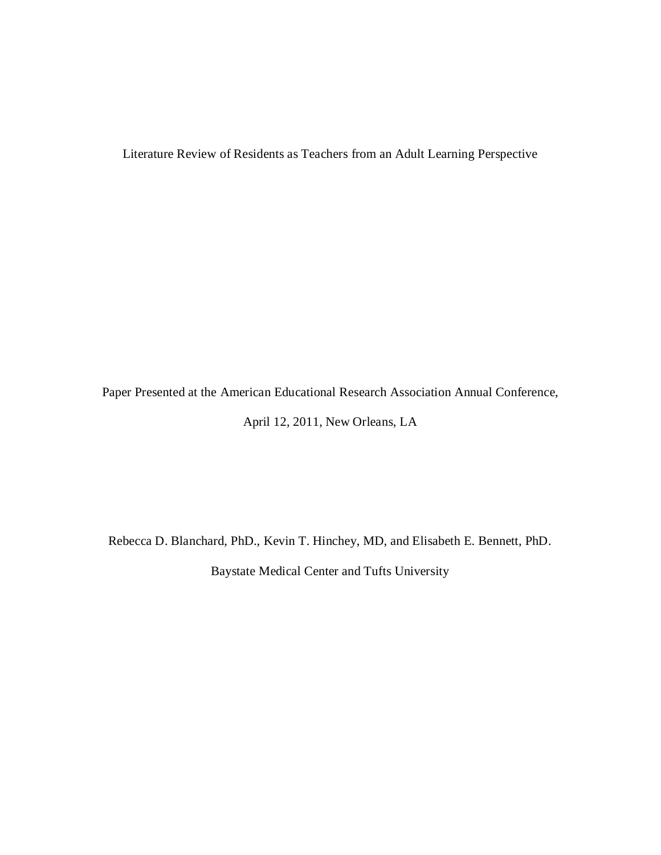Literature Review of Residents as Teachers from an Adult Learning Perspective

Paper Presented at the American Educational Research Association Annual Conference,

April 12, 2011, New Orleans, LA

Rebecca D. Blanchard, PhD., Kevin T. Hinchey, MD, and Elisabeth E. Bennett, PhD. Baystate Medical Center and Tufts University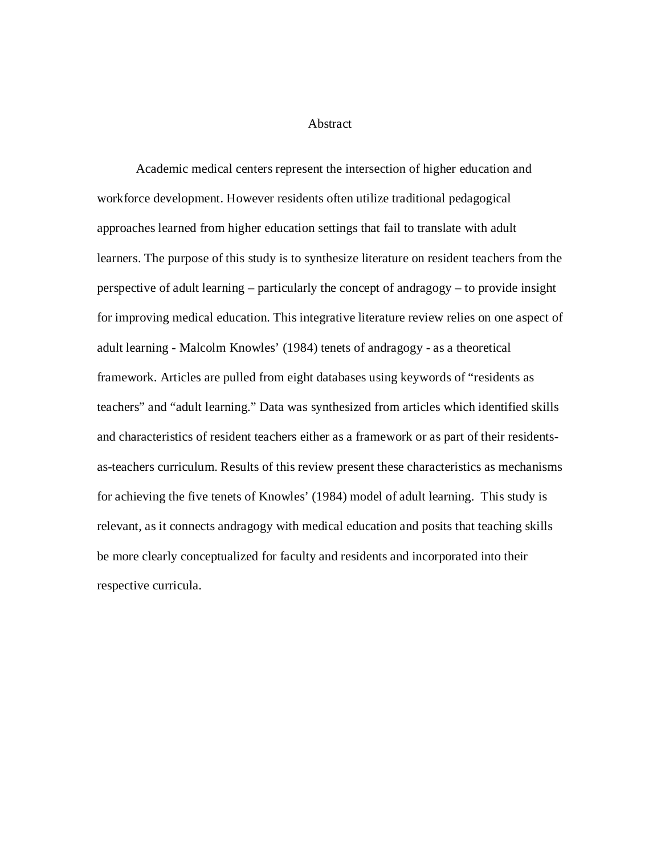### Abstract

Academic medical centers represent the intersection of higher education and workforce development. However residents often utilize traditional pedagogical approaches learned from higher education settings that fail to translate with adult learners. The purpose of this study is to synthesize literature on resident teachers from the perspective of adult learning – particularly the concept of andragogy – to provide insight for improving medical education. This integrative literature review relies on one aspect of adult learning - Malcolm Knowles' (1984) tenets of andragogy - as a theoretical framework. Articles are pulled from eight databases using keywords of "residents as teachers" and "adult learning." Data was synthesized from articles which identified skills and characteristics of resident teachers either as a framework or as part of their residentsas-teachers curriculum. Results of this review present these characteristics as mechanisms for achieving the five tenets of Knowles' (1984) model of adult learning. This study is relevant, as it connects andragogy with medical education and posits that teaching skills be more clearly conceptualized for faculty and residents and incorporated into their respective curricula.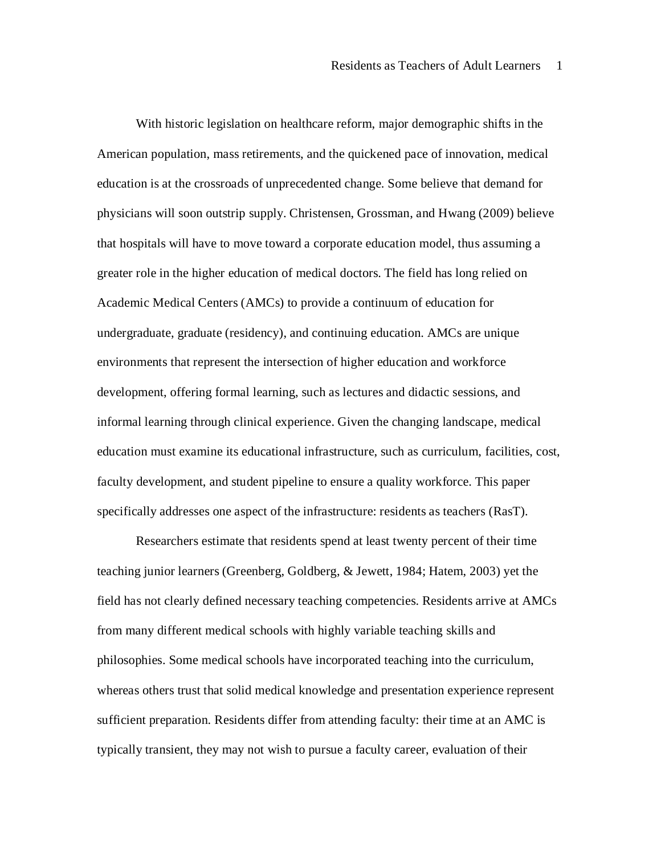With historic legislation on healthcare reform, major demographic shifts in the American population, mass retirements, and the quickened pace of innovation, medical education is at the crossroads of unprecedented change. Some believe that demand for physicians will soon outstrip supply. Christensen, Grossman, and Hwang (2009) believe that hospitals will have to move toward a corporate education model, thus assuming a greater role in the higher education of medical doctors. The field has long relied on Academic Medical Centers (AMCs) to provide a continuum of education for undergraduate, graduate (residency), and continuing education. AMCs are unique environments that represent the intersection of higher education and workforce development, offering formal learning, such as lectures and didactic sessions, and informal learning through clinical experience. Given the changing landscape, medical education must examine its educational infrastructure, such as curriculum, facilities, cost, faculty development, and student pipeline to ensure a quality workforce. This paper specifically addresses one aspect of the infrastructure: residents as teachers (RasT).

Researchers estimate that residents spend at least twenty percent of their time teaching junior learners (Greenberg, Goldberg, & Jewett, 1984; Hatem, 2003) yet the field has not clearly defined necessary teaching competencies. Residents arrive at AMCs from many different medical schools with highly variable teaching skills and philosophies. Some medical schools have incorporated teaching into the curriculum, whereas others trust that solid medical knowledge and presentation experience represent sufficient preparation. Residents differ from attending faculty: their time at an AMC is typically transient, they may not wish to pursue a faculty career, evaluation of their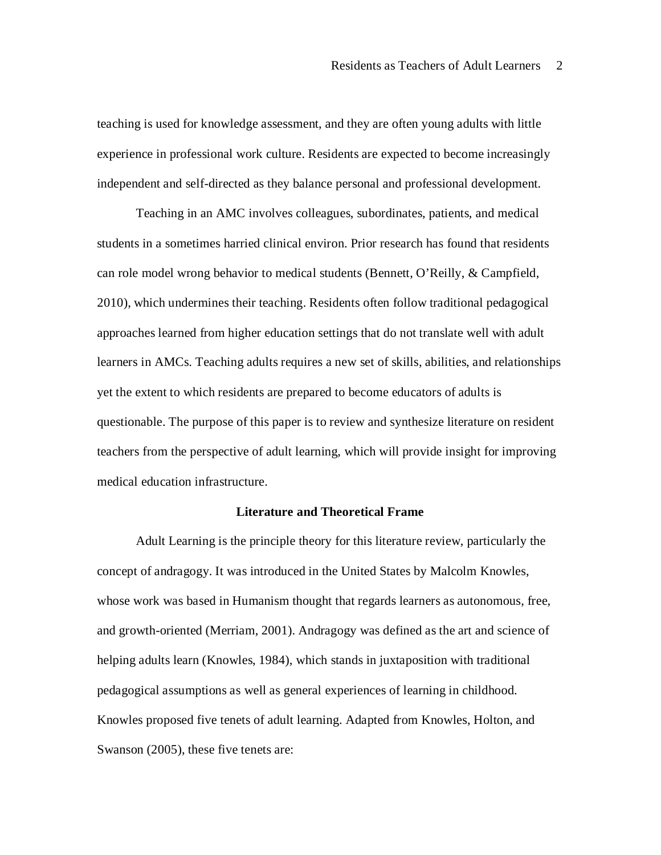teaching is used for knowledge assessment, and they are often young adults with little experience in professional work culture. Residents are expected to become increasingly independent and self-directed as they balance personal and professional development.

Teaching in an AMC involves colleagues, subordinates, patients, and medical students in a sometimes harried clinical environ. Prior research has found that residents can role model wrong behavior to medical students (Bennett, O'Reilly, & Campfield, 2010), which undermines their teaching. Residents often follow traditional pedagogical approaches learned from higher education settings that do not translate well with adult learners in AMCs. Teaching adults requires a new set of skills, abilities, and relationships yet the extent to which residents are prepared to become educators of adults is questionable. The purpose of this paper is to review and synthesize literature on resident teachers from the perspective of adult learning, which will provide insight for improving medical education infrastructure.

# **Literature and Theoretical Frame**

Adult Learning is the principle theory for this literature review, particularly the concept of andragogy. It was introduced in the United States by Malcolm Knowles, whose work was based in Humanism thought that regards learners as autonomous, free, and growth-oriented (Merriam, 2001). Andragogy was defined as the art and science of helping adults learn (Knowles, 1984), which stands in juxtaposition with traditional pedagogical assumptions as well as general experiences of learning in childhood. Knowles proposed five tenets of adult learning. Adapted from Knowles, Holton, and Swanson (2005), these five tenets are: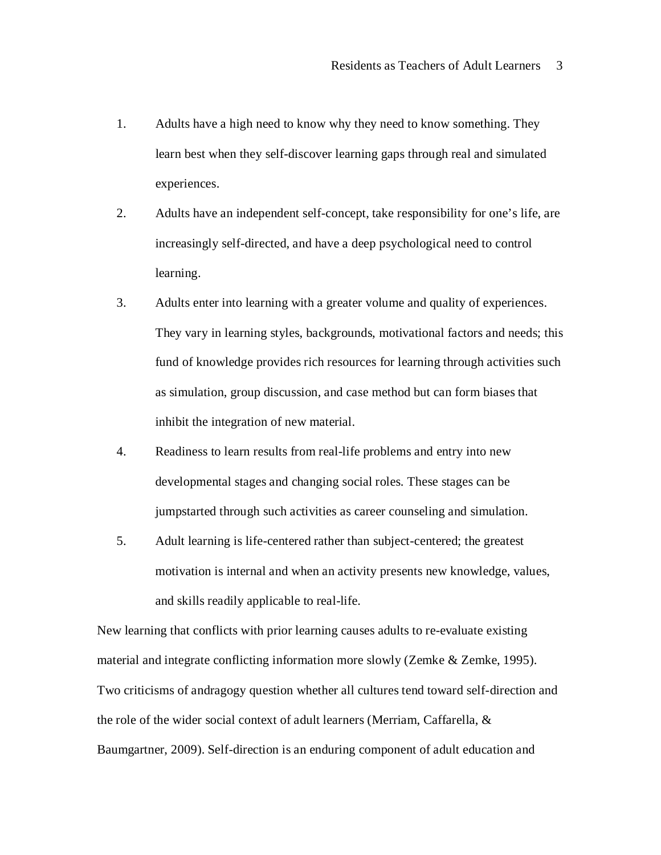- 1. Adults have a high need to know why they need to know something. They learn best when they self-discover learning gaps through real and simulated experiences.
- 2. Adults have an independent self-concept, take responsibility for one's life, are increasingly self-directed, and have a deep psychological need to control learning.
- 3. Adults enter into learning with a greater volume and quality of experiences. They vary in learning styles, backgrounds, motivational factors and needs; this fund of knowledge provides rich resources for learning through activities such as simulation, group discussion, and case method but can form biases that inhibit the integration of new material.
- 4. Readiness to learn results from real-life problems and entry into new developmental stages and changing social roles. These stages can be jumpstarted through such activities as career counseling and simulation.
- 5. Adult learning is life-centered rather than subject-centered; the greatest motivation is internal and when an activity presents new knowledge, values, and skills readily applicable to real-life.

New learning that conflicts with prior learning causes adults to re-evaluate existing material and integrate conflicting information more slowly (Zemke & Zemke, 1995). Two criticisms of andragogy question whether all cultures tend toward self-direction and the role of the wider social context of adult learners (Merriam, Caffarella, & Baumgartner, 2009). Self-direction is an enduring component of adult education and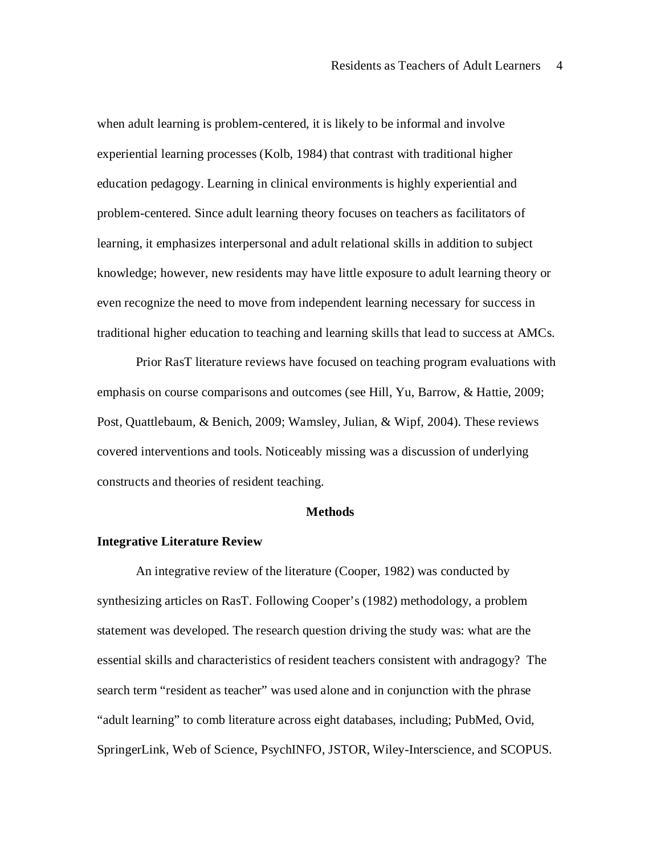when adult learning is problem-centered, it is likely to be informal and involve experiential learning processes (Kolb, 1984) that contrast with traditional higher education pedagogy. Learning in clinical environments is highly experiential and problem-centered. Since adult learning theory focuses on teachers as facilitators of learning, it emphasizes interpersonal and adult relational skills in addition to subject knowledge; however, new residents may have little exposure to adult learning theory or even recognize the need to move from independent learning necessary for success in traditional higher education to teaching and learning skills that lead to success at AMCs.

Prior RasT literature reviews have focused on teaching program evaluations with emphasis on course comparisons and outcomes (see Hill, Yu, Barrow, & Hattie, 2009; Post, Quattlebaum, & Benich, 2009; Wamsley, Julian, & Wipf, 2004). These reviews covered interventions and tools. Noticeably missing was a discussion of underlying constructs and theories of resident teaching.

## **Methods**

### **Integrative Literature Review**

An integrative review of the literature (Cooper, 1982) was conducted by synthesizing articles on RasT. Following Cooper's (1982) methodology, a problem statement was developed. The research question driving the study was: what are the essential skills and characteristics of resident teachers consistent with andragogy? The search term "resident as teacher" was used alone and in conjunction with the phrase "adult learning" to comb literature across eight databases, including; PubMed, Ovid, SpringerLink, Web of Science, PsychINFO, JSTOR, Wiley-Interscience, and SCOPUS.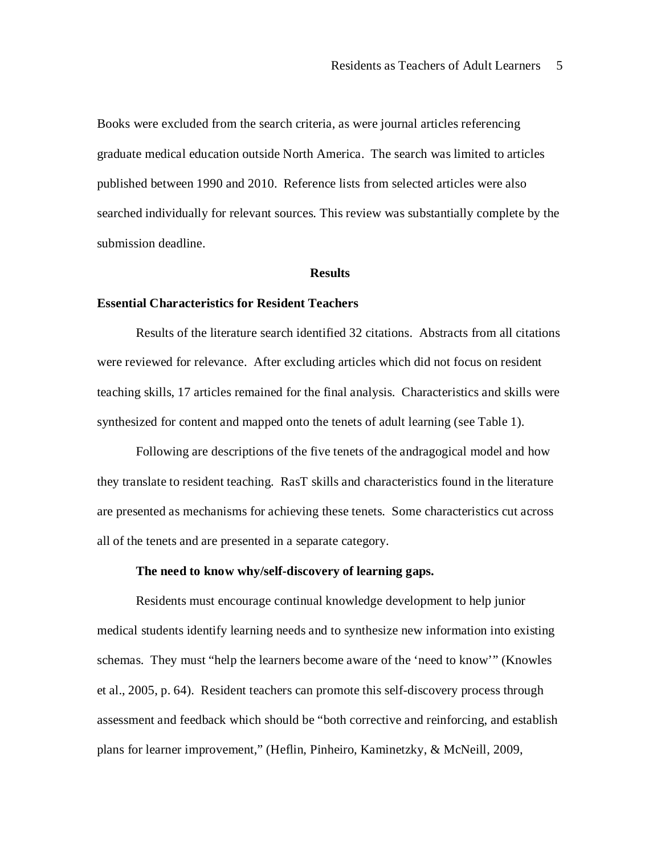Books were excluded from the search criteria, as were journal articles referencing graduate medical education outside North America. The search was limited to articles published between 1990 and 2010. Reference lists from selected articles were also searched individually for relevant sources. This review was substantially complete by the submission deadline.

### **Results**

# **Essential Characteristics for Resident Teachers**

Results of the literature search identified 32 citations. Abstracts from all citations were reviewed for relevance. After excluding articles which did not focus on resident teaching skills, 17 articles remained for the final analysis. Characteristics and skills were synthesized for content and mapped onto the tenets of adult learning (see Table 1).

Following are descriptions of the five tenets of the andragogical model and how they translate to resident teaching. RasT skills and characteristics found in the literature are presented as mechanisms for achieving these tenets. Some characteristics cut across all of the tenets and are presented in a separate category.

# **The need to know why/self-discovery of learning gaps.**

Residents must encourage continual knowledge development to help junior medical students identify learning needs and to synthesize new information into existing schemas. They must "help the learners become aware of the 'need to know'" (Knowles et al., 2005, p. 64). Resident teachers can promote this self-discovery process through assessment and feedback which should be "both corrective and reinforcing, and establish plans for learner improvement," (Heflin, Pinheiro, Kaminetzky, & McNeill, 2009,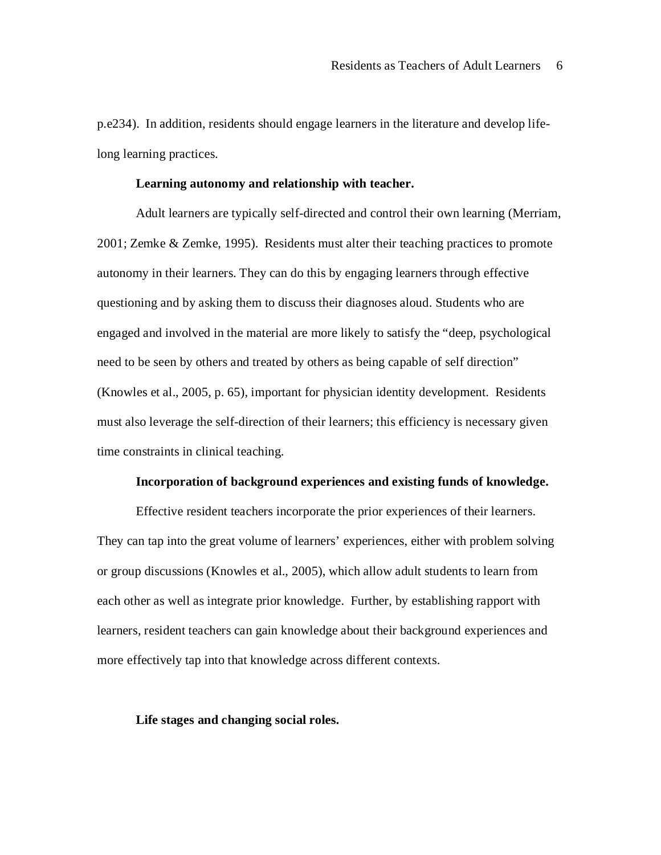p.e234). In addition, residents should engage learners in the literature and develop lifelong learning practices.

#### **Learning autonomy and relationship with teacher.**

Adult learners are typically self-directed and control their own learning (Merriam, 2001; Zemke & Zemke, 1995). Residents must alter their teaching practices to promote autonomy in their learners. They can do this by engaging learners through effective questioning and by asking them to discuss their diagnoses aloud. Students who are engaged and involved in the material are more likely to satisfy the "deep, psychological need to be seen by others and treated by others as being capable of self direction" (Knowles et al., 2005, p. 65), important for physician identity development. Residents must also leverage the self-direction of their learners; this efficiency is necessary given time constraints in clinical teaching.

### **Incorporation of background experiences and existing funds of knowledge.**

Effective resident teachers incorporate the prior experiences of their learners. They can tap into the great volume of learners' experiences, either with problem solving or group discussions (Knowles et al., 2005), which allow adult students to learn from each other as well as integrate prior knowledge. Further, by establishing rapport with learners, resident teachers can gain knowledge about their background experiences and more effectively tap into that knowledge across different contexts.

## **Life stages and changing social roles.**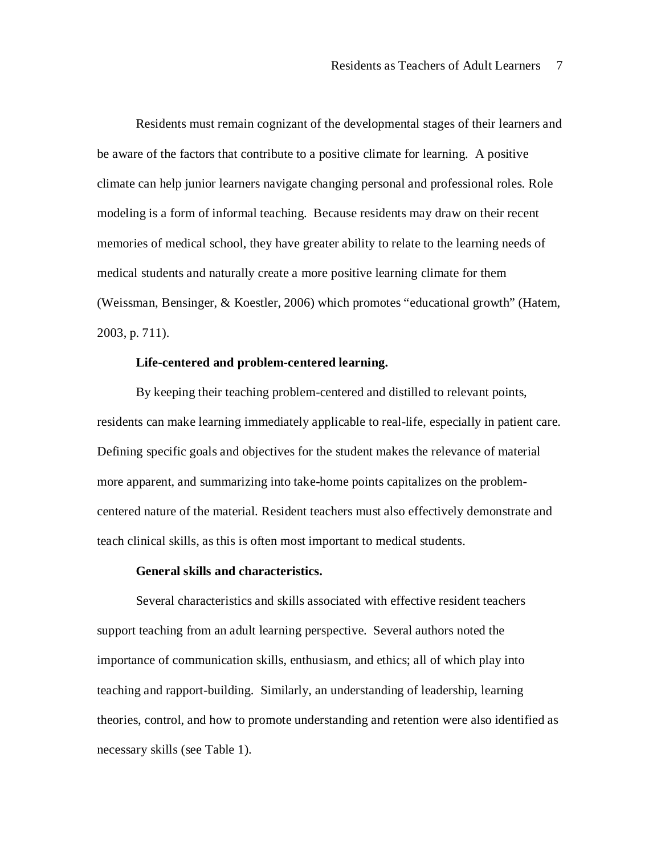Residents must remain cognizant of the developmental stages of their learners and be aware of the factors that contribute to a positive climate for learning. A positive climate can help junior learners navigate changing personal and professional roles. Role modeling is a form of informal teaching. Because residents may draw on their recent memories of medical school, they have greater ability to relate to the learning needs of medical students and naturally create a more positive learning climate for them (Weissman, Bensinger, & Koestler, 2006) which promotes "educational growth" (Hatem, 2003, p. 711).

## **Life-centered and problem-centered learning.**

By keeping their teaching problem-centered and distilled to relevant points, residents can make learning immediately applicable to real-life, especially in patient care. Defining specific goals and objectives for the student makes the relevance of material more apparent, and summarizing into take-home points capitalizes on the problemcentered nature of the material. Resident teachers must also effectively demonstrate and teach clinical skills, as this is often most important to medical students.

# **General skills and characteristics.**

Several characteristics and skills associated with effective resident teachers support teaching from an adult learning perspective. Several authors noted the importance of communication skills, enthusiasm, and ethics; all of which play into teaching and rapport-building. Similarly, an understanding of leadership, learning theories, control, and how to promote understanding and retention were also identified as necessary skills (see Table 1).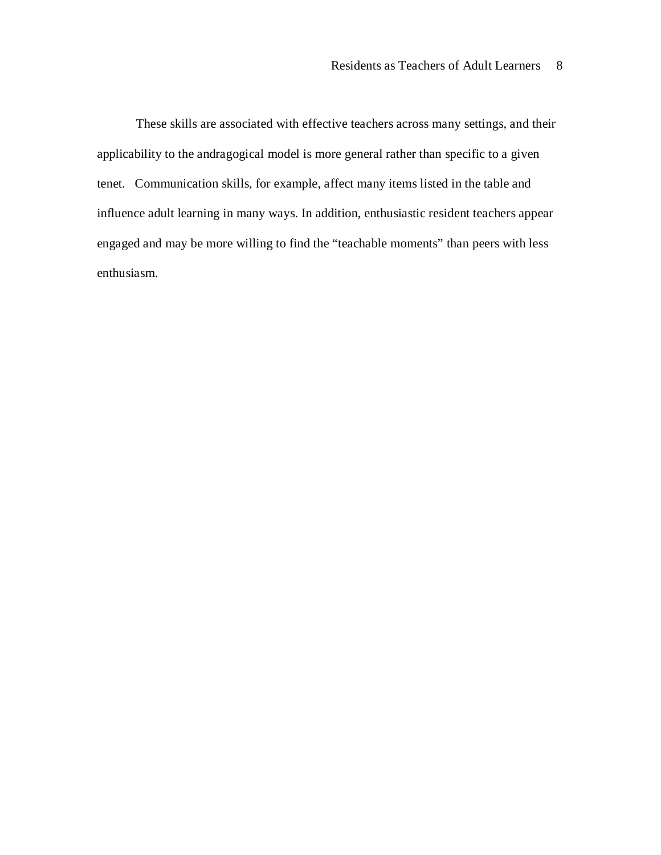These skills are associated with effective teachers across many settings, and their applicability to the andragogical model is more general rather than specific to a given tenet. Communication skills, for example, affect many items listed in the table and influence adult learning in many ways. In addition, enthusiastic resident teachers appear engaged and may be more willing to find the "teachable moments" than peers with less enthusiasm.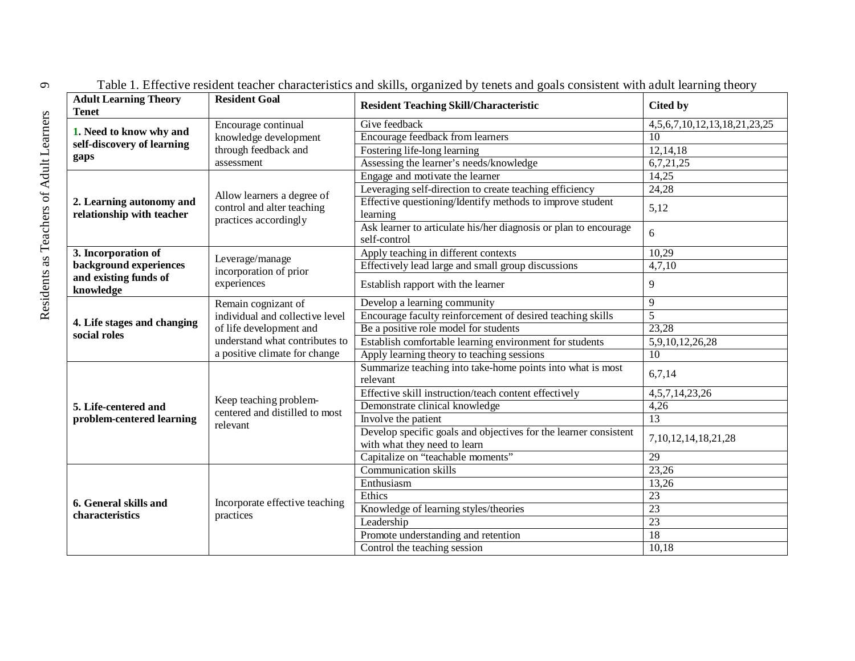| <b>Adult Learning Theory</b><br><b>Tenet</b>                  | <b>Resident Goal</b>                                                                                                                                 | <b>Resident Teaching Skill/Characteristic</b>                                                    | Cited by                               |
|---------------------------------------------------------------|------------------------------------------------------------------------------------------------------------------------------------------------------|--------------------------------------------------------------------------------------------------|----------------------------------------|
| 1. Need to know why and<br>self-discovery of learning<br>gaps | Encourage continual<br>knowledge development<br>through feedback and<br>assessment                                                                   | Give feedback                                                                                    | 4, 5, 6, 7, 10, 12, 13, 18, 21, 23, 25 |
|                                                               |                                                                                                                                                      | Encourage feedback from learners                                                                 | 10                                     |
|                                                               |                                                                                                                                                      | Fostering life-long learning                                                                     | 12,14,18                               |
|                                                               |                                                                                                                                                      | Assessing the learner's needs/knowledge                                                          | 6,7,21,25                              |
| 2. Learning autonomy and<br>relationship with teacher         | Allow learners a degree of<br>control and alter teaching<br>practices accordingly                                                                    | Engage and motivate the learner                                                                  | 14,25                                  |
|                                                               |                                                                                                                                                      | Leveraging self-direction to create teaching efficiency                                          | 24,28                                  |
|                                                               |                                                                                                                                                      | Effective questioning/Identify methods to improve student<br>learning                            | 5,12                                   |
|                                                               |                                                                                                                                                      | Ask learner to articulate his/her diagnosis or plan to encourage<br>self-control                 | 6                                      |
| 3. Incorporation of<br>background experiences                 | Leverage/manage<br>incorporation of prior<br>experiences                                                                                             | Apply teaching in different contexts                                                             | 10,29                                  |
|                                                               |                                                                                                                                                      | Effectively lead large and small group discussions                                               | 4,7,10                                 |
| and existing funds of<br>knowledge                            |                                                                                                                                                      | Establish rapport with the learner                                                               | 9                                      |
| 4. Life stages and changing<br>social roles                   | Remain cognizant of<br>individual and collective level<br>of life development and<br>understand what contributes to<br>a positive climate for change | Develop a learning community                                                                     | 9                                      |
|                                                               |                                                                                                                                                      | Encourage faculty reinforcement of desired teaching skills                                       | $\overline{5}$                         |
|                                                               |                                                                                                                                                      | Be a positive role model for students                                                            | 23,28                                  |
|                                                               |                                                                                                                                                      | Establish comfortable learning environment for students                                          | 5,9,10,12,26,28                        |
|                                                               |                                                                                                                                                      | Apply learning theory to teaching sessions                                                       | $\overline{10}$                        |
| 5. Life-centered and<br>problem-centered learning             | Keep teaching problem-<br>centered and distilled to most<br>relevant                                                                                 | Summarize teaching into take-home points into what is most<br>relevant                           | 6,7,14                                 |
|                                                               |                                                                                                                                                      | Effective skill instruction/teach content effectively                                            | 4, 5, 7, 14, 23, 26                    |
|                                                               |                                                                                                                                                      | Demonstrate clinical knowledge                                                                   | 4,26                                   |
|                                                               |                                                                                                                                                      | Involve the patient                                                                              | $\overline{13}$                        |
|                                                               |                                                                                                                                                      | Develop specific goals and objectives for the learner consistent<br>with what they need to learn | 7, 10, 12, 14, 18, 21, 28              |
|                                                               |                                                                                                                                                      | Capitalize on "teachable moments"                                                                | $\overline{29}$                        |
| 6. General skills and<br>characteristics                      | Incorporate effective teaching<br>practices                                                                                                          | <b>Communication skills</b>                                                                      | 23,26                                  |
|                                                               |                                                                                                                                                      | Enthusiasm                                                                                       | 13,26                                  |
|                                                               |                                                                                                                                                      | Ethics                                                                                           | $\overline{23}$                        |
|                                                               |                                                                                                                                                      | Knowledge of learning styles/theories                                                            | $\overline{23}$                        |
|                                                               |                                                                                                                                                      | Leadership                                                                                       | $\overline{23}$                        |
|                                                               |                                                                                                                                                      | Promote understanding and retention                                                              | 18                                     |
|                                                               |                                                                                                                                                      | Control the teaching session                                                                     | 10,18                                  |

Table 1. Effective resident teacher characteristics and skills, organized by tenets and goals consistent with adult learning theory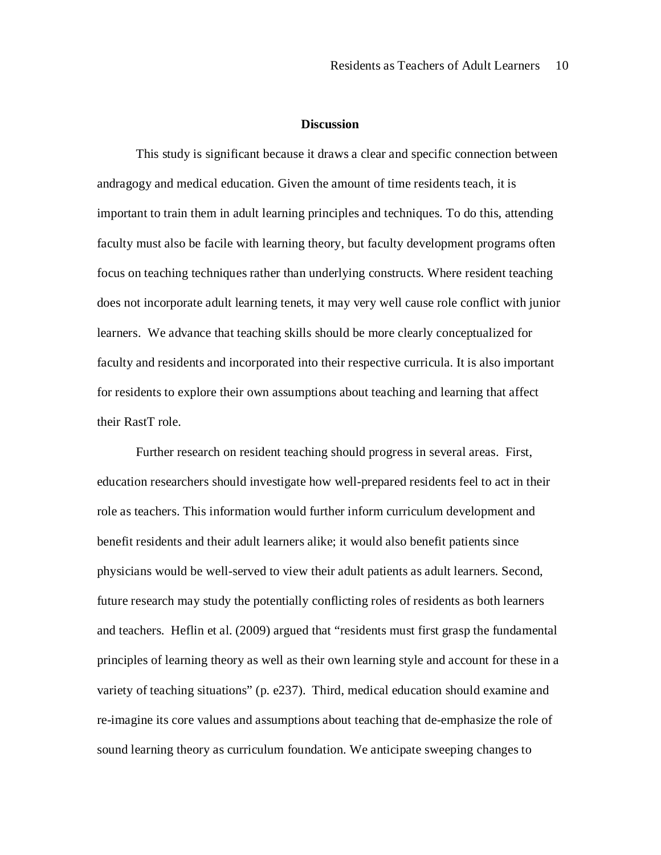## **Discussion**

This study is significant because it draws a clear and specific connection between andragogy and medical education. Given the amount of time residents teach, it is important to train them in adult learning principles and techniques. To do this, attending faculty must also be facile with learning theory, but faculty development programs often focus on teaching techniques rather than underlying constructs. Where resident teaching does not incorporate adult learning tenets, it may very well cause role conflict with junior learners. We advance that teaching skills should be more clearly conceptualized for faculty and residents and incorporated into their respective curricula. It is also important for residents to explore their own assumptions about teaching and learning that affect their RastT role.

Further research on resident teaching should progress in several areas. First, education researchers should investigate how well-prepared residents feel to act in their role as teachers. This information would further inform curriculum development and benefit residents and their adult learners alike; it would also benefit patients since physicians would be well-served to view their adult patients as adult learners. Second, future research may study the potentially conflicting roles of residents as both learners and teachers. Heflin et al. (2009) argued that "residents must first grasp the fundamental principles of learning theory as well as their own learning style and account for these in a variety of teaching situations" (p. e237). Third, medical education should examine and re-imagine its core values and assumptions about teaching that de-emphasize the role of sound learning theory as curriculum foundation. We anticipate sweeping changes to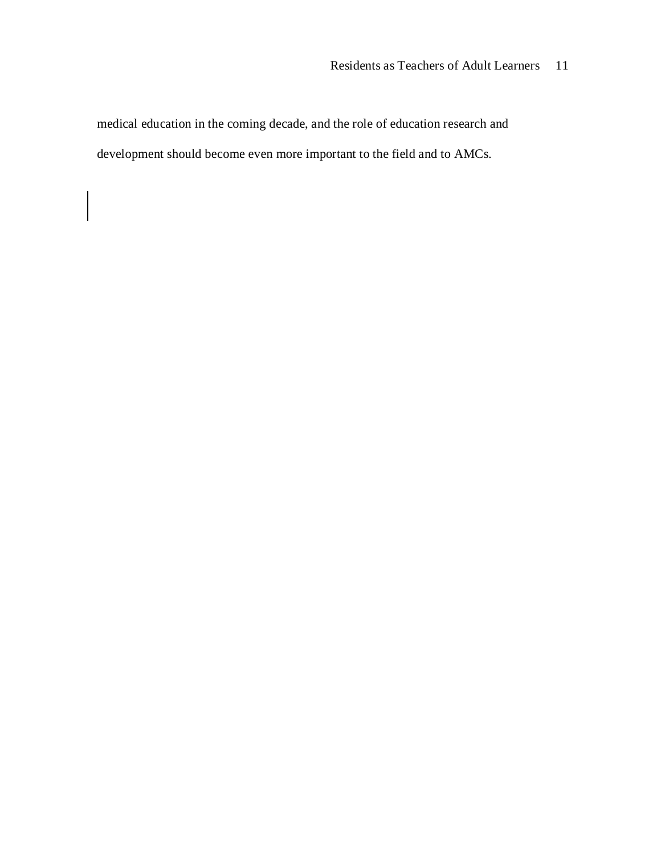medical education in the coming decade, and the role of education research and development should become even more important to the field and to AMCs.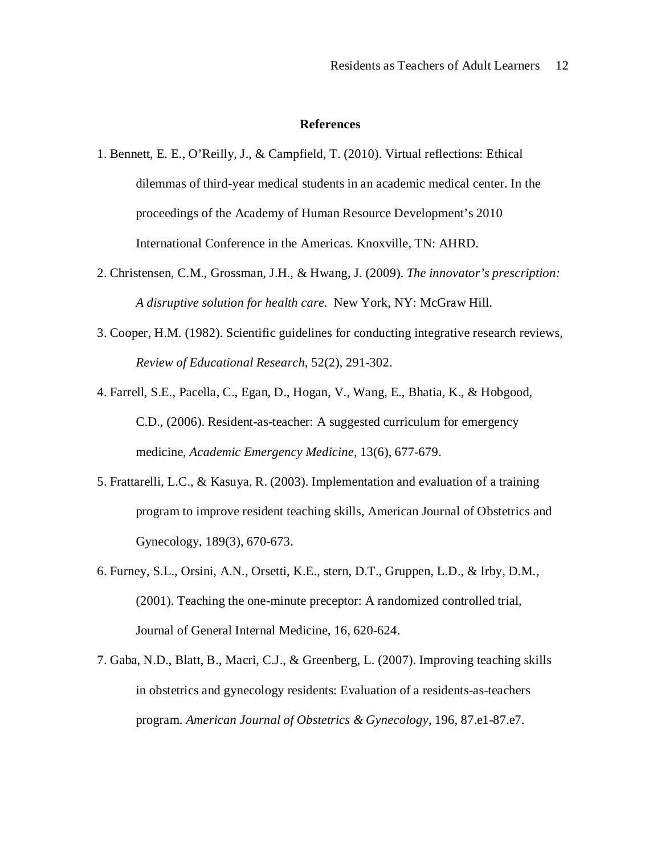### **References**

- 1. Bennett, E. E., O'Reilly, J., & Campfield, T. (2010). Virtual reflections: Ethical dilemmas of third-year medical students in an academic medical center. In the proceedings of the Academy of Human Resource Development's 2010 International Conference in the Americas. Knoxville, TN: AHRD.
- 2. Christensen, C.M., Grossman, J.H., & Hwang, J. (2009). *The innovator's prescription: A disruptive solution for health care.* New York, NY: McGraw Hill.
- 3. Cooper, H.M. (1982). Scientific guidelines for conducting integrative research reviews, *Review of Educational Research*, 52(2), 291-302.
- 4. Farrell, S.E., Pacella, C., Egan, D., Hogan, V., Wang, E., Bhatia, K., & Hobgood, C.D., (2006). Resident-as-teacher: A suggested curriculum for emergency medicine, *Academic Emergency Medicine*, 13(6), 677-679.
- 5. Frattarelli, L.C., & Kasuya, R. (2003). Implementation and evaluation of a training program to improve resident teaching skills, American Journal of Obstetrics and Gynecology, 189(3), 670-673.
- 6. Furney, S.L., Orsini, A.N., Orsetti, K.E., stern, D.T., Gruppen, L.D., & Irby, D.M., (2001). Teaching the one-minute preceptor: A randomized controlled trial, Journal of General Internal Medicine, 16, 620-624.
- 7. Gaba, N.D., Blatt, B., Macri, C.J., & Greenberg, L. (2007). Improving teaching skills in obstetrics and gynecology residents: Evaluation of a residents-as-teachers program. *American Journal of Obstetrics & Gynecology*, 196, 87.e1-87.e7.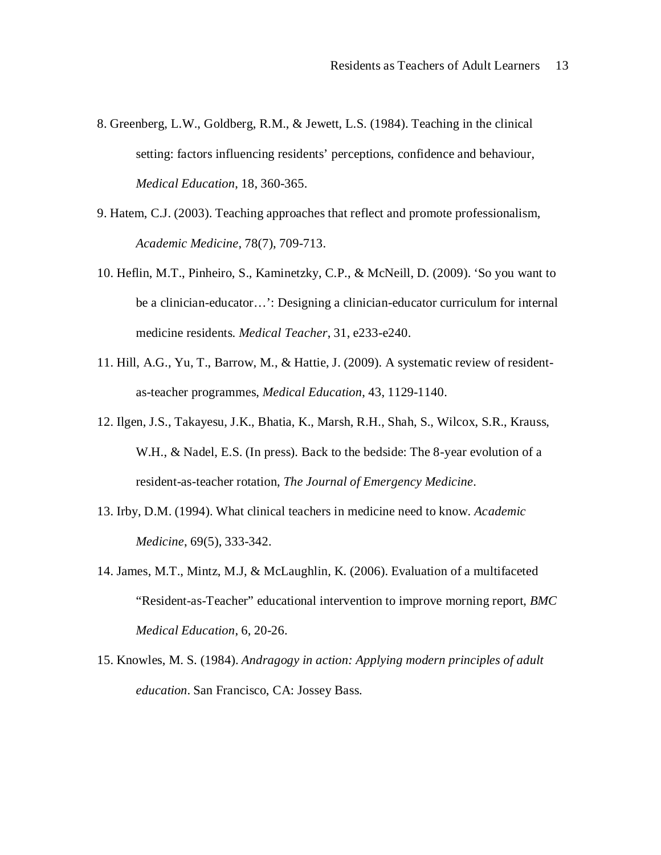- 8. Greenberg, L.W., Goldberg, R.M., & Jewett, L.S. (1984). Teaching in the clinical setting: factors influencing residents' perceptions, confidence and behaviour, *Medical Education*, 18, 360-365.
- 9. Hatem, C.J. (2003). Teaching approaches that reflect and promote professionalism, *Academic Medicine*, 78(7), 709-713.
- 10. Heflin, M.T., Pinheiro, S., Kaminetzky, C.P., & McNeill, D. (2009). 'So you want to be a clinician-educator…': Designing a clinician-educator curriculum for internal medicine residents. *Medical Teacher*, 31, e233-e240.
- 11. Hill, A.G., Yu, T., Barrow, M., & Hattie, J. (2009). A systematic review of residentas-teacher programmes, *Medical Education*, 43, 1129-1140.
- 12. Ilgen, J.S., Takayesu, J.K., Bhatia, K., Marsh, R.H., Shah, S., Wilcox, S.R., Krauss, W.H., & Nadel, E.S. (In press). Back to the bedside: The 8-year evolution of a resident-as-teacher rotation, *The Journal of Emergency Medicine*.
- 13. Irby, D.M. (1994). What clinical teachers in medicine need to know. *Academic Medicine*, 69(5), 333-342.
- 14. James, M.T., Mintz, M.J, & McLaughlin, K. (2006). Evaluation of a multifaceted "Resident-as-Teacher" educational intervention to improve morning report, *BMC Medical Education*, 6, 20-26.
- 15. Knowles, M. S. (1984). *Andragogy in action: Applying modern principles of adult education*. San Francisco, CA: Jossey Bass.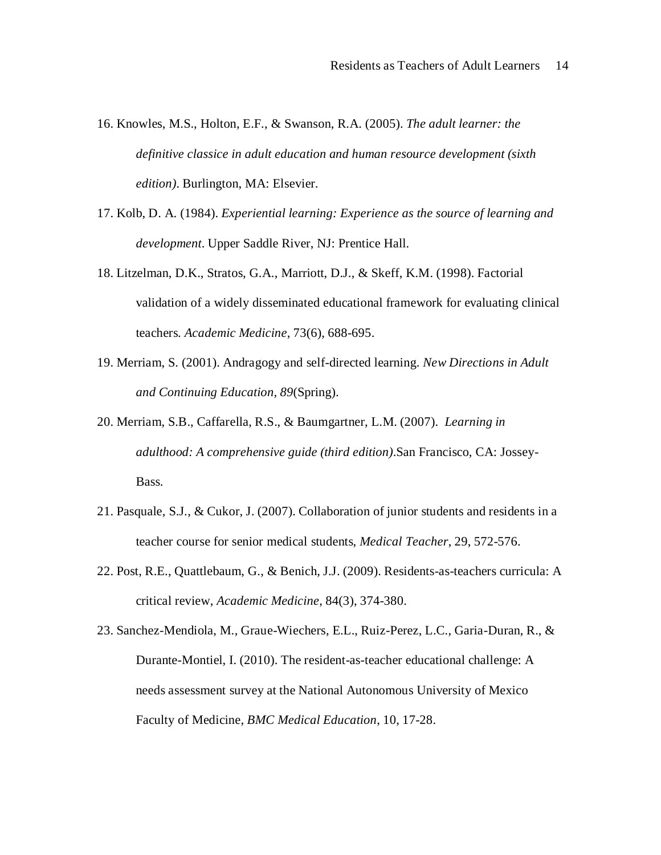- 16. Knowles, M.S., Holton, E.F., & Swanson, R.A. (2005). *The adult learner: the definitive classice in adult education and human resource development (sixth edition)*. Burlington, MA: Elsevier.
- 17. Kolb, D. A. (1984). *Experiential learning: Experience as the source of learning and development*. Upper Saddle River, NJ: Prentice Hall.
- 18. Litzelman, D.K., Stratos, G.A., Marriott, D.J., & Skeff, K.M. (1998). Factorial validation of a widely disseminated educational framework for evaluating clinical teachers. *Academic Medicine*, 73(6), 688-695.
- 19. Merriam, S. (2001). Andragogy and self-directed learning. *New Directions in Adult and Continuing Education, 89*(Spring).
- 20. Merriam, S.B., Caffarella, R.S., & Baumgartner, L.M. (2007). *Learning in adulthood: A comprehensive guide (third edition)*.San Francisco, CA: Jossey-Bass.
- 21. Pasquale, S.J., & Cukor, J. (2007). Collaboration of junior students and residents in a teacher course for senior medical students, *Medical Teacher*, 29, 572-576.
- 22. Post, R.E., Quattlebaum, G., & Benich, J.J. (2009). Residents-as-teachers curricula: A critical review, *Academic Medicine*, 84(3), 374-380.
- 23. Sanchez-Mendiola, M., Graue-Wiechers, E.L., Ruiz-Perez, L.C., Garia-Duran, R., & Durante-Montiel, I. (2010). The resident-as-teacher educational challenge: A needs assessment survey at the National Autonomous University of Mexico Faculty of Medicine, *BMC Medical Education*, 10, 17-28.